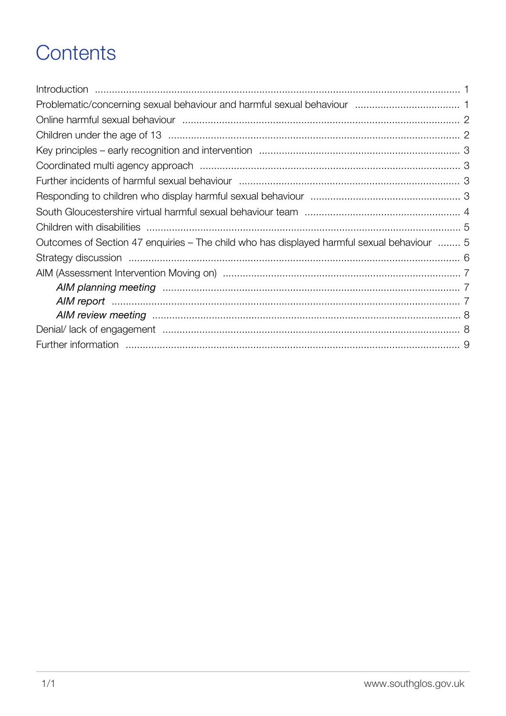## Contents

| Outcomes of Section 47 enquiries – The child who has displayed harmful sexual behaviour  5                      |  |
|-----------------------------------------------------------------------------------------------------------------|--|
|                                                                                                                 |  |
|                                                                                                                 |  |
|                                                                                                                 |  |
| AIM report manufactured and the contract of the contract of the contract of the contract of the contract of the |  |
|                                                                                                                 |  |
|                                                                                                                 |  |
|                                                                                                                 |  |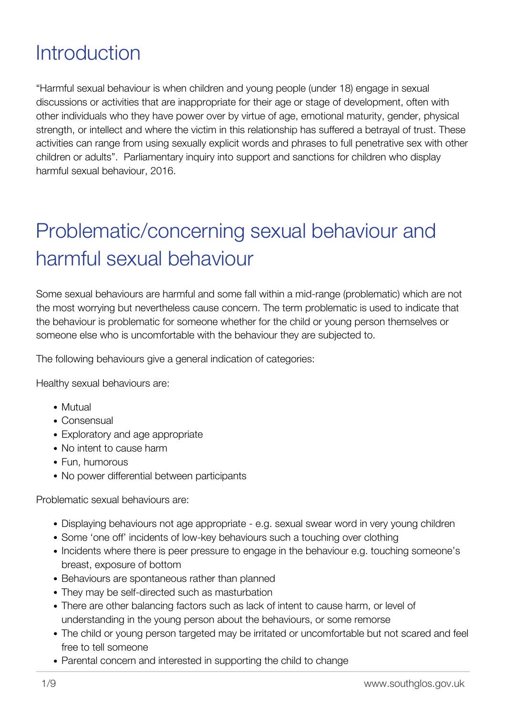#### <span id="page-1-0"></span>**Introduction**

"Harmful sexual behaviour is when children and young people (under 18) engage in sexual discussions or activities that are inappropriate for their age or stage of development, often with other individuals who they have power over by virtue of age, emotional maturity, gender, physical strength, or intellect and where the victim in this relationship has suffered a betrayal of trust. These activities can range from using sexually explicit words and phrases to full penetrative sex with other children or adults". Parliamentary inquiry into support and sanctions for children who display harmful sexual behaviour, 2016.

# <span id="page-1-1"></span>Problematic/concerning sexual behaviour and harmful sexual behaviour

Some sexual behaviours are harmful and some fall within a mid-range (problematic) which are not the most worrying but nevertheless cause concern. The term problematic is used to indicate that the behaviour is problematic for someone whether for the child or young person themselves or someone else who is uncomfortable with the behaviour they are subjected to.

The following behaviours give a general indication of categories:

Healthy sexual behaviours are:

- Mutual
- Consensual
- Exploratory and age appropriate
- No intent to cause harm
- Fun, humorous
- No power differential between participants

Problematic sexual behaviours are:

- Displaying behaviours not age appropriate e.g. sexual swear word in very young children
- Some 'one off' incidents of low-key behaviours such a touching over clothing
- Incidents where there is peer pressure to engage in the behaviour e.g. touching someone's breast, exposure of bottom
- Behaviours are spontaneous rather than planned
- They may be self-directed such as masturbation
- There are other balancing factors such as lack of intent to cause harm, or level of understanding in the young person about the behaviours, or some remorse
- The child or young person targeted may be irritated or uncomfortable but not scared and feel free to tell someone
- Parental concern and interested in supporting the child to change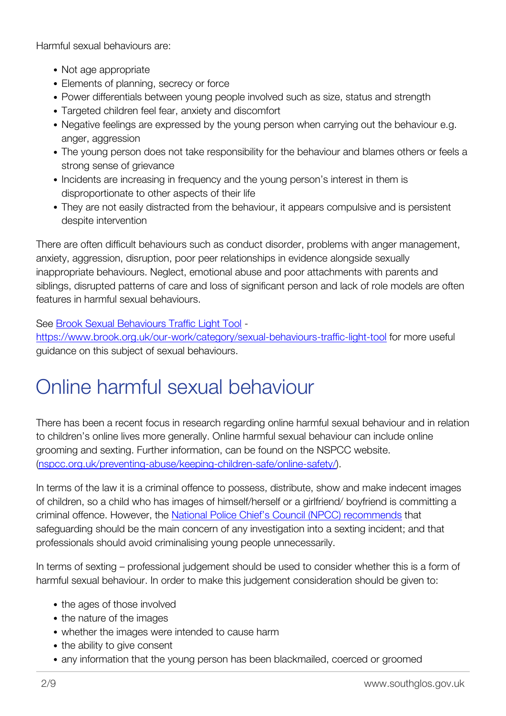Harmful sexual behaviours are:

- Not age appropriate
- Elements of planning, secrecy or force
- Power differentials between young people involved such as size, status and strength
- Targeted children feel fear, anxiety and discomfort
- Negative feelings are expressed by the young person when carrying out the behaviour e.g. anger, aggression
- The young person does not take responsibility for the behaviour and blames others or feels a strong sense of grievance
- Incidents are increasing in frequency and the young person's interest in them is disproportionate to other aspects of their life
- They are not easily distracted from the behaviour, it appears compulsive and is persistent despite intervention

There are often difficult behaviours such as conduct disorder, problems with anger management, anxiety, aggression, disruption, poor peer relationships in evidence alongside sexually inappropriate behaviours. Neglect, emotional abuse and poor attachments with parents and siblings, disrupted patterns of care and loss of significant person and lack of role models are often features in harmful sexual behaviours.

See [Brook Sexual Behaviours Traffic Light Tool](http://www.brook.org.uk/our-work/single/sexual-behaviours-traffic-light-tool) -

<https://www.brook.org.uk/our-work/category/sexual-behaviours-traffic-light-tool> for more useful guidance on this subject of sexual behaviours.

## <span id="page-2-0"></span>Online harmful sexual behaviour

There has been a recent focus in research regarding online harmful sexual behaviour and in relation to children's online lives more generally. Online harmful sexual behaviour can include online grooming and sexting. Further information, can be found on the NSPCC website. [\(nspcc.org.uk/preventing-abuse/keeping-children-safe/online-safety/\)](https://www.nspcc.org.uk/preventing-abuse/keeping-children-safe/online-safety/).

In terms of the law it is a criminal offence to possess, distribute, show and make indecent images of children, so a child who has images of himself/herself or a girlfriend/ boyfriend is committing a criminal offence. However, the [National Police Chief's Council \(NPCC\) recommends](https://www.nspcc.org.uk/preventing-abuse/child-abuse-and-neglect/online-abuse/legislation-policy-practice/#sextingguidance) that safeguarding should be the main concern of any investigation into a sexting incident; and that professionals should avoid criminalising young people unnecessarily.

In terms of sexting – professional judgement should be used to consider whether this is a form of harmful sexual behaviour. In order to make this judgement consideration should be given to:

- the ages of those involved
- the nature of the images
- whether the images were intended to cause harm
- the ability to give consent
- <span id="page-2-1"></span>any information that the young person has been blackmailed, coerced or groomed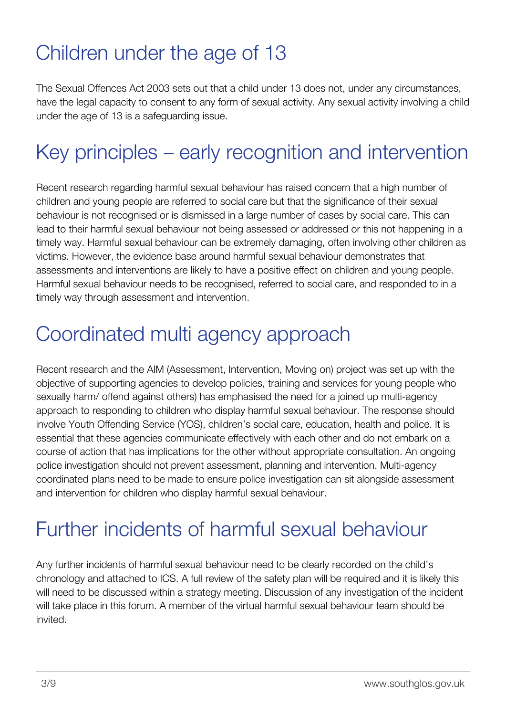#### Children under the age of 13

The Sexual Offences Act 2003 sets out that a child under 13 does not, under any circumstances, have the legal capacity to consent to any form of sexual activity. Any sexual activity involving a child under the age of 13 is a safeguarding issue.

### <span id="page-3-0"></span>Key principles – early recognition and intervention

Recent research regarding harmful sexual behaviour has raised concern that a high number of children and young people are referred to social care but that the significance of their sexual behaviour is not recognised or is dismissed in a large number of cases by social care. This can lead to their harmful sexual behaviour not being assessed or addressed or this not happening in a timely way. Harmful sexual behaviour can be extremely damaging, often involving other children as victims. However, the evidence base around harmful sexual behaviour demonstrates that assessments and interventions are likely to have a positive effect on children and young people. Harmful sexual behaviour needs to be recognised, referred to social care, and responded to in a timely way through assessment and intervention.

#### <span id="page-3-1"></span>Coordinated multi agency approach

Recent research and the AIM (Assessment, Intervention, Moving on) project was set up with the objective of supporting agencies to develop policies, training and services for young people who sexually harm/ offend against others) has emphasised the need for a joined up multi-agency approach to responding to children who display harmful sexual behaviour. The response should involve Youth Offending Service (YOS), children's social care, education, health and police. It is essential that these agencies communicate effectively with each other and do not embark on a course of action that has implications for the other without appropriate consultation. An ongoing police investigation should not prevent assessment, planning and intervention. Multi-agency coordinated plans need to be made to ensure police investigation can sit alongside assessment and intervention for children who display harmful sexual behaviour.

#### <span id="page-3-2"></span>Further incidents of harmful sexual behaviour

<span id="page-3-3"></span>Any further incidents of harmful sexual behaviour need to be clearly recorded on the child's chronology and attached to ICS. A full review of the safety plan will be required and it is likely this will need to be discussed within a strategy meeting. Discussion of any investigation of the incident will take place in this forum. A member of the virtual harmful sexual behaviour team should be invited.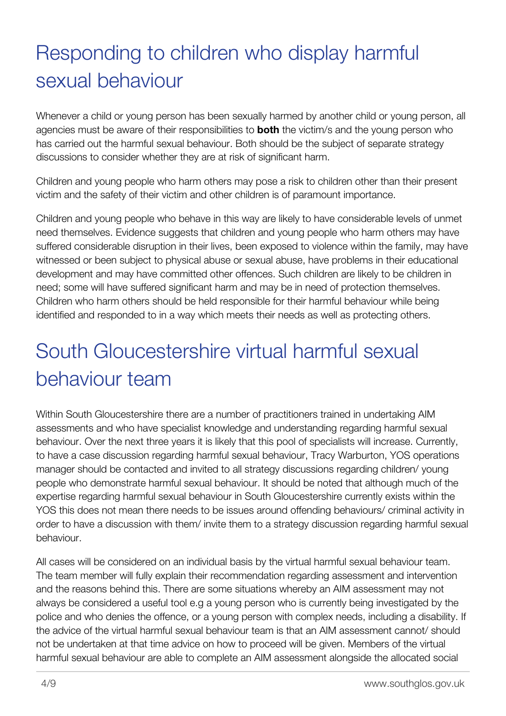# Responding to children who display harmful sexual behaviour

Whenever a child or young person has been sexually harmed by another child or young person, all agencies must be aware of their responsibilities to **both** the victim/s and the young person who has carried out the harmful sexual behaviour. Both should be the subject of separate strategy discussions to consider whether they are at risk of significant harm.

Children and young people who harm others may pose a risk to children other than their present victim and the safety of their victim and other children is of paramount importance.

Children and young people who behave in this way are likely to have considerable levels of unmet need themselves. Evidence suggests that children and young people who harm others may have suffered considerable disruption in their lives, been exposed to violence within the family, may have witnessed or been subject to physical abuse or sexual abuse, have problems in their educational development and may have committed other offences. Such children are likely to be children in need; some will have suffered significant harm and may be in need of protection themselves. Children who harm others should be held responsible for their harmful behaviour while being identified and responded to in a way which meets their needs as well as protecting others.

# <span id="page-4-0"></span>South Gloucestershire virtual harmful sexual behaviour team

Within South Gloucestershire there are a number of practitioners trained in undertaking AIM assessments and who have specialist knowledge and understanding regarding harmful sexual behaviour. Over the next three years it is likely that this pool of specialists will increase. Currently, to have a case discussion regarding harmful sexual behaviour, Tracy Warburton, YOS operations manager should be contacted and invited to all strategy discussions regarding children/ young people who demonstrate harmful sexual behaviour. It should be noted that although much of the expertise regarding harmful sexual behaviour in South Gloucestershire currently exists within the YOS this does not mean there needs to be issues around offending behaviours/ criminal activity in order to have a discussion with them/ invite them to a strategy discussion regarding harmful sexual behaviour.

All cases will be considered on an individual basis by the virtual harmful sexual behaviour team. The team member will fully explain their recommendation regarding assessment and intervention and the reasons behind this. There are some situations whereby an AIM assessment may not always be considered a useful tool e.g a young person who is currently being investigated by the police and who denies the offence, or a young person with complex needs, including a disability. If the advice of the virtual harmful sexual behaviour team is that an AIM assessment cannot/ should not be undertaken at that time advice on how to proceed will be given. Members of the virtual harmful sexual behaviour are able to complete an AIM assessment alongside the allocated social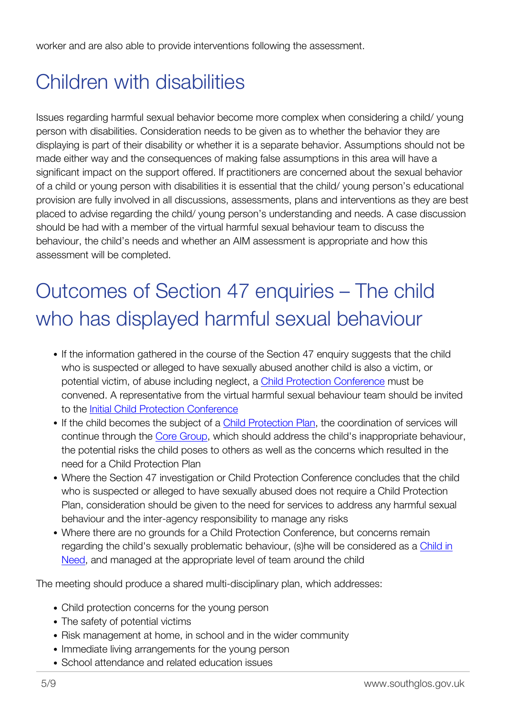worker and are also able to provide interventions following the assessment.

### <span id="page-5-0"></span>Children with disabilities

Issues regarding harmful sexual behavior become more complex when considering a child/ young person with disabilities. Consideration needs to be given as to whether the behavior they are displaying is part of their disability or whether it is a separate behavior. Assumptions should not be made either way and the consequences of making false assumptions in this area will have a significant impact on the support offered. If practitioners are concerned about the sexual behavior of a child or young person with disabilities it is essential that the child/ young person's educational provision are fully involved in all discussions, assessments, plans and interventions as they are best placed to advise regarding the child/ young person's understanding and needs. A case discussion should be had with a member of the virtual harmful sexual behaviour team to discuss the behaviour, the child's needs and whether an AIM assessment is appropriate and how this assessment will be completed.

# <span id="page-5-1"></span>Outcomes of Section 47 enquiries – The child who has displayed harmful sexual behaviour

- If the information gathered in the course of the Section 47 enquiry suggests that the child who is suspected or alleged to have sexually abused another child is also a victim, or potential victim, of abuse including neglect, a [Child Protection Conference](http://trixresources.proceduresonline.com/nat_key/keywords/child_prot_conf.html) must be convened. A representative from the virtual harmful sexual behaviour team should be invited to the [Initial Child Protection Conference](http://trixresources.proceduresonline.com/nat_key/keywords/init_chi_prot_conf.html)
- If the child becomes the subject of a [Child Protection Plan](http://trixresources.proceduresonline.com/nat_key/keywords/child_protection_plan.html), the coordination of services will continue through the [Core Group](http://trixresources.proceduresonline.com/nat_key/keywords/core_group.html), which should address the child's inappropriate behaviour, the potential risks the child poses to others as well as the concerns which resulted in the need for a Child Protection Plan
- Where the Section 47 investigation or Child Protection Conference concludes that the child who is suspected or alleged to have sexually abused does not require a Child Protection Plan, consideration should be given to the need for services to address any harmful sexual behaviour and the inter-agency responsibility to manage any risks
- Where there are no grounds for a Child Protection Conference, but concerns remain regarding the child's sexually problematic behaviour, (s)he will be considered as a [Child in](http://trixresources.proceduresonline.com/nat_key/keywords/child_in_need.html) [Need](http://trixresources.proceduresonline.com/nat_key/keywords/child_in_need.html), and managed at the appropriate level of team around the child

The meeting should produce a shared multi-disciplinary plan, which addresses:

- Child protection concerns for the young person
- The safety of potential victims
- Risk management at home, in school and in the wider community
- Immediate living arrangements for the young person
- School attendance and related education issues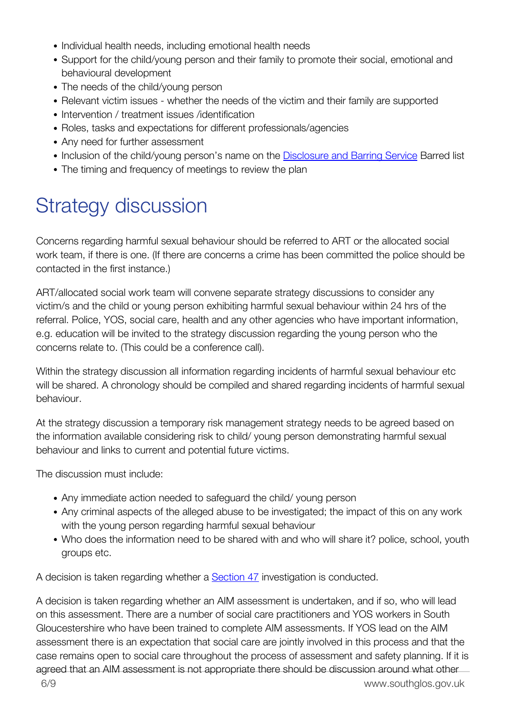- Individual health needs, including emotional health needs
- Support for the child/young person and their family to promote their social, emotional and behavioural development
- The needs of the child/young person
- Relevant victim issues whether the needs of the victim and their family are supported
- Intervention / treatment issues /identification
- Roles, tasks and expectations for different professionals/agencies
- Any need for further assessment
- Inclusion of the child/young person's name on the [Disclosure and Barring Service](http://trixresources.proceduresonline.com/nat_key/keywords/dis_barring_service.html) Barred list
- The timing and frequency of meetings to review the plan

### <span id="page-6-0"></span>Strategy discussion

Concerns regarding harmful sexual behaviour should be referred to ART or the allocated social work team, if there is one. (If there are concerns a crime has been committed the police should be contacted in the first instance.)

ART/allocated social work team will convene separate strategy discussions to consider any victim/s and the child or young person exhibiting harmful sexual behaviour within 24 hrs of the referral. Police, YOS, social care, health and any other agencies who have important information, e.g. education will be invited to the strategy discussion regarding the young person who the concerns relate to. (This could be a conference call).

Within the strategy discussion all information regarding incidents of harmful sexual behaviour etc will be shared. A chronology should be compiled and shared regarding incidents of harmful sexual behaviour.

At the strategy discussion a temporary risk management strategy needs to be agreed based on the information available considering risk to child/ young person demonstrating harmful sexual behaviour and links to current and potential future victims.

The discussion must include:

- Any immediate action needed to safeguard the child/ young person
- Any criminal aspects of the alleged abuse to be investigated; the impact of this on any work with the young person regarding harmful sexual behaviour
- Who does the information need to be shared with and who will share it? police, school, youth groups etc.

A decision is taken regarding whether a [Section 47](http://trixresources.proceduresonline.com/nat_key/keywords/sec_47_enq.html) investigation is conducted.

6/9 www.southglos.gov.uk A decision is taken regarding whether an AIM assessment is undertaken, and if so, who will lead on this assessment. There are a number of social care practitioners and YOS workers in South Gloucestershire who have been trained to complete AIM assessments. If YOS lead on the AIM assessment there is an expectation that social care are jointly involved in this process and that the case remains open to social care throughout the process of assessment and safety planning. If it is agreed that an AIM assessment is not appropriate there should be discussion around what other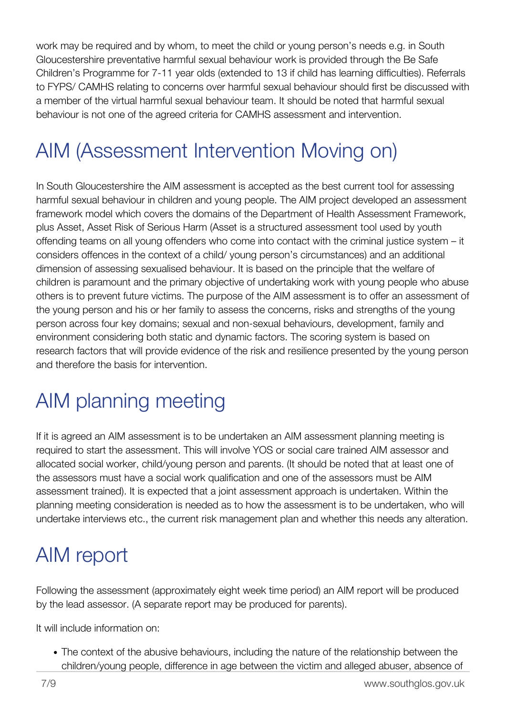work may be required and by whom, to meet the child or young person's needs e.g. in South Gloucestershire preventative harmful sexual behaviour work is provided through the Be Safe Children's Programme for 7-11 year olds (extended to 13 if child has learning difficulties). Referrals to FYPS/ CAMHS relating to concerns over harmful sexual behaviour should first be discussed with a member of the virtual harmful sexual behaviour team. It should be noted that harmful sexual behaviour is not one of the agreed criteria for CAMHS assessment and intervention.

# <span id="page-7-0"></span>AIM (Assessment Intervention Moving on)

In South Gloucestershire the AIM assessment is accepted as the best current tool for assessing harmful sexual behaviour in children and young people. The AIM project developed an assessment framework model which covers the domains of the Department of Health Assessment Framework, plus Asset, Asset Risk of Serious Harm (Asset is a structured assessment tool used by youth offending teams on all young offenders who come into contact with the criminal justice system – it considers offences in the context of a child/ young person's circumstances) and an additional dimension of assessing sexualised behaviour. It is based on the principle that the welfare of children is paramount and the primary objective of undertaking work with young people who abuse others is to prevent future victims. The purpose of the AIM assessment is to offer an assessment of the young person and his or her family to assess the concerns, risks and strengths of the young person across four key domains; sexual and non-sexual behaviours, development, family and environment considering both static and dynamic factors. The scoring system is based on research factors that will provide evidence of the risk and resilience presented by the young person and therefore the basis for intervention.

# <span id="page-7-1"></span>AIM planning meeting

If it is agreed an AIM assessment is to be undertaken an AIM assessment planning meeting is required to start the assessment. This will involve YOS or social care trained AIM assessor and allocated social worker, child/young person and parents. (It should be noted that at least one of the assessors must have a social work qualification and one of the assessors must be AIM assessment trained). It is expected that a joint assessment approach is undertaken. Within the planning meeting consideration is needed as to how the assessment is to be undertaken, who will undertake interviews etc., the current risk management plan and whether this needs any alteration.

## <span id="page-7-2"></span>AIM report

Following the assessment (approximately eight week time period) an AIM report will be produced by the lead assessor. (A separate report may be produced for parents).

It will include information on:

The context of the abusive behaviours, including the nature of the relationship between the children/young people, difference in age between the victim and alleged abuser, absence of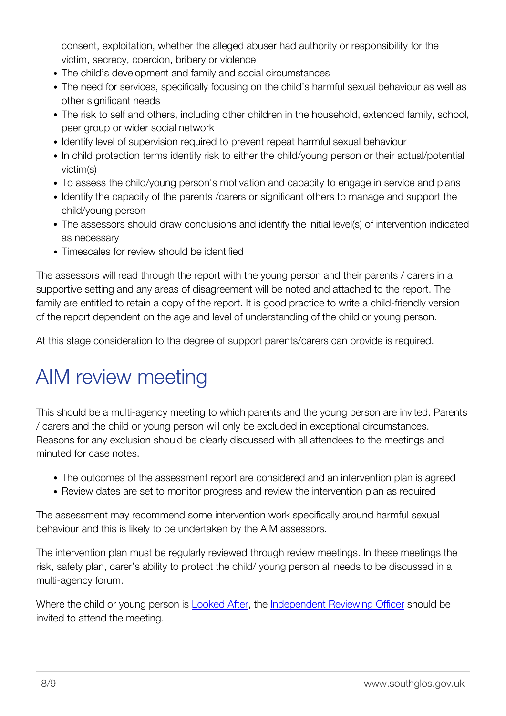consent, exploitation, whether the alleged abuser had authority or responsibility for the victim, secrecy, coercion, bribery or violence

- The child's development and family and social circumstances
- The need for services, specifically focusing on the child's harmful sexual behaviour as well as other significant needs
- The risk to self and others, including other children in the household, extended family, school, peer group or wider social network
- Identify level of supervision required to prevent repeat harmful sexual behaviour
- In child protection terms identify risk to either the child/young person or their actual/potential victim(s)
- To assess the child/young person's motivation and capacity to engage in service and plans
- Identify the capacity of the parents / carers or significant others to manage and support the child/young person
- The assessors should draw conclusions and identify the initial level(s) of intervention indicated as necessary
- Timescales for review should be identified

The assessors will read through the report with the young person and their parents / carers in a supportive setting and any areas of disagreement will be noted and attached to the report. The family are entitled to retain a copy of the report. It is good practice to write a child-friendly version of the report dependent on the age and level of understanding of the child or young person.

At this stage consideration to the degree of support parents/carers can provide is required.

### <span id="page-8-0"></span>AIM review meeting

This should be a multi-agency meeting to which parents and the young person are invited. Parents / carers and the child or young person will only be excluded in exceptional circumstances. Reasons for any exclusion should be clearly discussed with all attendees to the meetings and minuted for case notes.

- The outcomes of the assessment report are considered and an intervention plan is agreed
- Review dates are set to monitor progress and review the intervention plan as required

The assessment may recommend some intervention work specifically around harmful sexual behaviour and this is likely to be undertaken by the AIM assessors.

The intervention plan must be regularly reviewed through review meetings. In these meetings the risk, safety plan, carer's ability to protect the child/ young person all needs to be discussed in a multi-agency forum.

<span id="page-8-1"></span>Where the child or young person is [Looked After](http://trixresources.proceduresonline.com/nat_key/keywords/looked_after.html), the [Independent Reviewing Officer](http://trixresources.proceduresonline.com/nat_key/keywords/indep_reviewing_officer.html) should be invited to attend the meeting.